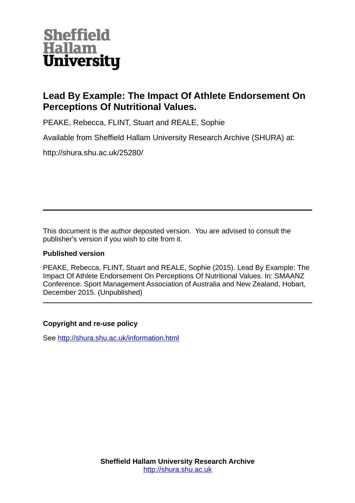

## **Lead By Example: The Impact Of Athlete Endorsement On Perceptions Of Nutritional Values.**

PEAKE, Rebecca, FLINT, Stuart and REALE, Sophie

Available from Sheffield Hallam University Research Archive (SHURA) at:

http://shura.shu.ac.uk/25280/

This document is the author deposited version. You are advised to consult the publisher's version if you wish to cite from it.

## **Published version**

PEAKE, Rebecca, FLINT, Stuart and REALE, Sophie (2015). Lead By Example: The Impact Of Athlete Endorsement On Perceptions Of Nutritional Values. In: SMAANZ Conference. Sport Management Association of Australia and New Zealand, Hobart, December 2015. (Unpublished)

## **Copyright and re-use policy**

See<http://shura.shu.ac.uk/information.html>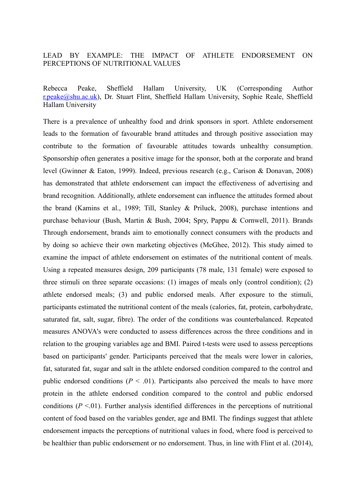## LEAD BY EXAMPLE: THE IMPACT OF ATHLETE ENDORSEMENT ON PERCEPTIONS OF NUTRITIONAL VALUES

Rebecca Peake, Sheffield Hallam University, UK (Corresponding Author [r.peake@shu.ac.uk\)](mailto:r.peake@shu.ac.uk), Dr. Stuart Flint, Sheffield Hallam University, Sophie Reale, Sheffield Hallam University

There is a prevalence of unhealthy food and drink sponsors in sport. Athlete endorsement leads to the formation of favourable brand attitudes and through positive association may contribute to the formation of favourable attitudes towards unhealthy consumption. Sponsorship often generates a positive image for the sponsor, both at the corporate and brand level (Gwinner & Eaton, 1999). Indeed, previous research (e.g., Carison & Donavan, 2008) has demonstrated that athlete endorsement can impact the effectiveness of advertising and brand recognition. Additionally, athlete endorsement can influence the attitudes formed about the brand (Kamins et al., 1989; Till, Stanley & Priluck, 2008), purchase intentions and purchase behaviour (Bush, Martin & Bush, 2004; Spry, Pappu & Cornwell, 2011). Brands Through endorsement, brands aim to emotionally connect consumers with the products and by doing so achieve their own marketing objectives (McGhee, 2012). This study aimed to examine the impact of athlete endorsement on estimates of the nutritional content of meals. Using a repeated measures design, 209 participants (78 male, 131 female) were exposed to three stimuli on three separate occasions: (1) images of meals only (control condition); (2) athlete endorsed meals; (3) and public endorsed meals. After exposure to the stimuli, participants estimated the nutritional content of the meals (calories, fat, protein, carbohydrate, saturated fat, salt, sugar, fibre). The order of the conditions was counterbalanced. Repeated measures ANOVA's were conducted to assess differences across the three conditions and in relation to the grouping variables age and BMI. Paired t-tests were used to assess perceptions based on participants' gender. Participants perceived that the meals were lower in calories, fat, saturated fat, sugar and salt in the athlete endorsed condition compared to the control and public endorsed conditions  $(P < 0.01)$ . Participants also perceived the meals to have more protein in the athlete endorsed condition compared to the control and public endorsed conditions  $(P \le 01)$ . Further analysis identified differences in the perceptions of nutritional content of food based on the variables gender, age and BMI. The findings suggest that athlete endorsement impacts the perceptions of nutritional values in food, where food is perceived to be healthier than public endorsement or no endorsement. Thus, in line with Flint et al. (2014),